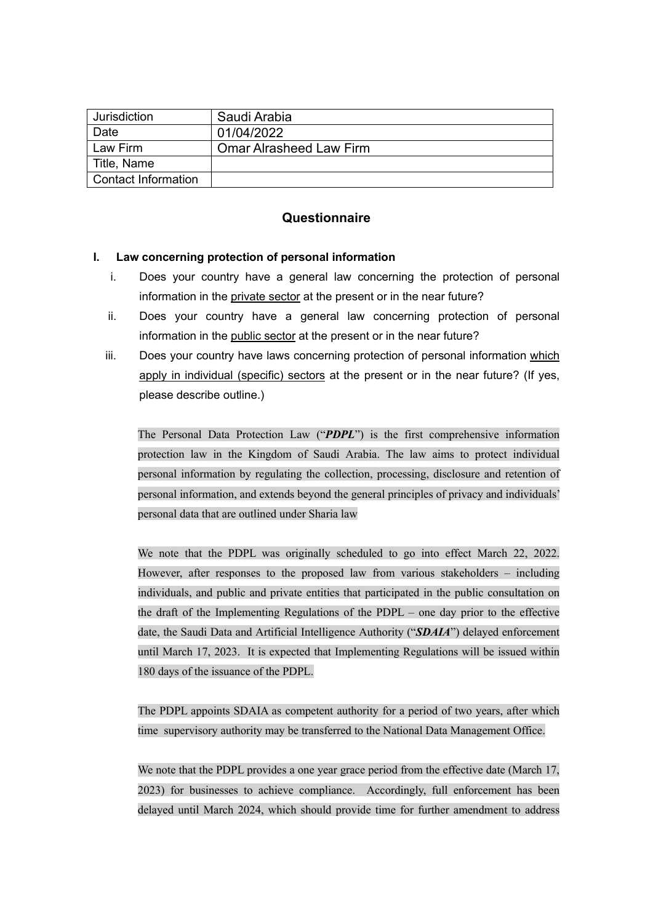| Jurisdiction        | Saudi Arabia                   |  |  |  |
|---------------------|--------------------------------|--|--|--|
| Date                | 01/04/2022                     |  |  |  |
| Law Firm            | <b>Omar Alrasheed Law Firm</b> |  |  |  |
| ∣ Title, Name       |                                |  |  |  |
| Contact Information |                                |  |  |  |

# **Questionnaire**

### **I. Law concerning protection of personal information**

- i. Does your country have a general law concerning the protection of personal information in the private sector at the present or in the near future?
- ii. Does your country have a general law concerning protection of personal information in the public sector at the present or in the near future?
- iii. Does your country have laws concerning protection of personal information which apply in individual (specific) sectors at the present or in the near future? (If yes, please describe outline.)

The Personal Data Protection Law ("*PDPL*") is the first comprehensive information protection law in the Kingdom of Saudi Arabia. The law aims to protect individual personal information by regulating the collection, processing, disclosure and retention of personal information, and extends beyond the general principles of privacy and individuals' personal data that are outlined under Sharia law

We note that the PDPL was originally scheduled to go into effect March 22, 2022. However, after responses to the proposed law from various stakeholders – including individuals, and public and private entities that participated in the public consultation on the draft of the Implementing Regulations of the PDPL – one day prior to the effective date, the Saudi Data and Artificial Intelligence Authority ("*SDAIA*") delayed enforcement until March 17, 2023. It is expected that Implementing Regulations will be issued within 180 days of the issuance of the PDPL.

The PDPL appoints SDAIA as competent authority for a period of two years, after which time supervisory authority may be transferred to the National Data Management Office.

We note that the PDPL provides a one year grace period from the effective date (March 17, 2023) for businesses to achieve compliance. Accordingly, full enforcement has been delayed until March 2024, which should provide time for further amendment to address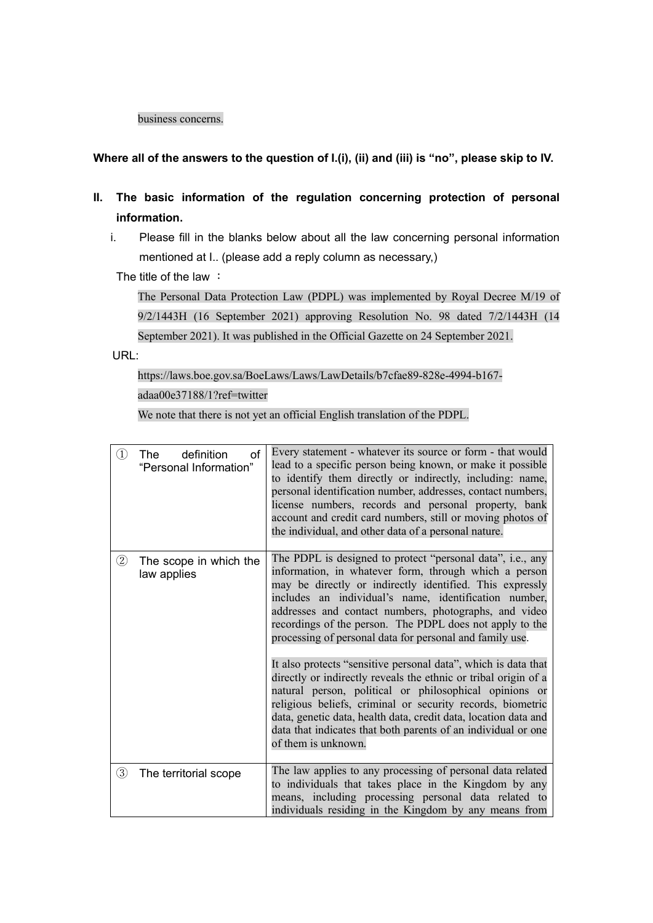#### business concerns.

## **Where all of the answers to the question of I.(i), (ii) and (iii) is "no", please skip to IV.**

- **II. The basic information of the regulation concerning protection of personal information.**
	- i. Please fill in the blanks below about all the law concerning personal information mentioned at I.. (please add a reply column as necessary,)

The title of the law :

The Personal Data Protection Law (PDPL) was implemented by Royal Decree M/19 of 9/2/1443H (16 September 2021) approving Resolution No. 98 dated 7/2/1443H (14 September 2021). It was published in the Official Gazette on 24 September 2021.

URL:

[https://laws.boe.gov.sa/BoeLaws/Laws/LawDetails/b7cfae89-828e-4994-b167](https://laws.boe.gov.sa/BoeLaws/Laws/LawDetails/b7cfae89-828e-4994-b167-adaa00e37188/1?ref=twitter) [adaa00e37188/1?ref=twitter](https://laws.boe.gov.sa/BoeLaws/Laws/LawDetails/b7cfae89-828e-4994-b167-adaa00e37188/1?ref=twitter)

We note that there is not yet an official English translation of the PDPL.

| $\left(1\right)$ | of<br>definition<br>The<br>"Personal Information" | Every statement - whatever its source or form - that would<br>lead to a specific person being known, or make it possible<br>to identify them directly or indirectly, including: name,<br>personal identification number, addresses, contact numbers,<br>license numbers, records and personal property, bank<br>account and credit card numbers, still or moving photos of<br>the individual, and other data of a personal nature.                                                                                                                                                                                                                                                                                                                                                                                                                |
|------------------|---------------------------------------------------|---------------------------------------------------------------------------------------------------------------------------------------------------------------------------------------------------------------------------------------------------------------------------------------------------------------------------------------------------------------------------------------------------------------------------------------------------------------------------------------------------------------------------------------------------------------------------------------------------------------------------------------------------------------------------------------------------------------------------------------------------------------------------------------------------------------------------------------------------|
| $\rm(2)$         | The scope in which the<br>law applies             | The PDPL is designed to protect "personal data", i.e., any<br>information, in whatever form, through which a person<br>may be directly or indirectly identified. This expressly<br>includes an individual's name, identification number,<br>addresses and contact numbers, photographs, and video<br>recordings of the person. The PDPL does not apply to the<br>processing of personal data for personal and family use.<br>It also protects "sensitive personal data", which is data that<br>directly or indirectly reveals the ethnic or tribal origin of a<br>natural person, political or philosophical opinions or<br>religious beliefs, criminal or security records, biometric<br>data, genetic data, health data, credit data, location data and<br>data that indicates that both parents of an individual or one<br>of them is unknown. |
| (3)              | The territorial scope                             | The law applies to any processing of personal data related<br>to individuals that takes place in the Kingdom by any<br>means, including processing personal data related to<br>individuals residing in the Kingdom by any means from                                                                                                                                                                                                                                                                                                                                                                                                                                                                                                                                                                                                              |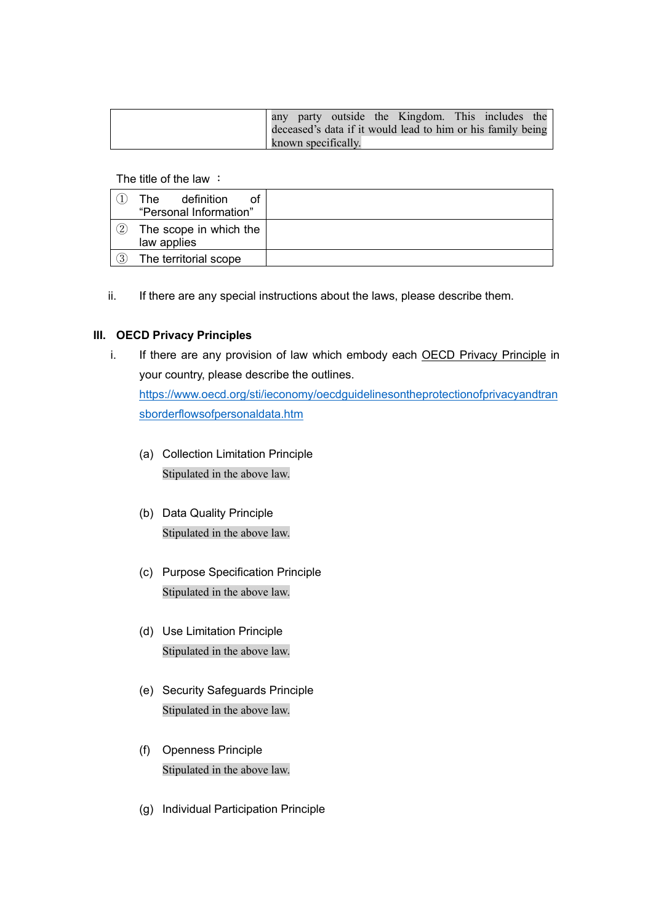|  |  |                     | any party outside the Kingdom. This includes the            |  |  |
|--|--|---------------------|-------------------------------------------------------------|--|--|
|  |  |                     | deceased's data if it would lead to him or his family being |  |  |
|  |  | known specifically. |                                                             |  |  |

The title of the law :

|     | definition<br>The.<br>οt<br>"Personal Information" |  |
|-----|----------------------------------------------------|--|
| (2) | The scope in which the<br>law applies              |  |
| (3) | The territorial scope                              |  |

ii. If there are any special instructions about the laws, please describe them.

# **III. OECD Privacy Principles**

i. If there are any provision of law which embody each OECD Privacy Principle in your country, please describe the outlines.

[https://www.oecd.org/sti/ieconomy/oecdguidelinesontheprotectionofprivacyandtran](https://www.oecd.org/sti/ieconomy/oecdguidelinesontheprotectionofprivacyandtransborderflowsofpersonaldata.htm) [sborderflowsofpersonaldata.htm](https://www.oecd.org/sti/ieconomy/oecdguidelinesontheprotectionofprivacyandtransborderflowsofpersonaldata.htm)

- (a) Collection Limitation Principle Stipulated in the above law.
- (b) Data Quality Principle Stipulated in the above law.
- (c) Purpose Specification Principle Stipulated in the above law.
- (d) Use Limitation Principle Stipulated in the above law.
- (e) Security Safeguards Principle Stipulated in the above law.
- (f) Openness Principle Stipulated in the above law.
- (g) Individual Participation Principle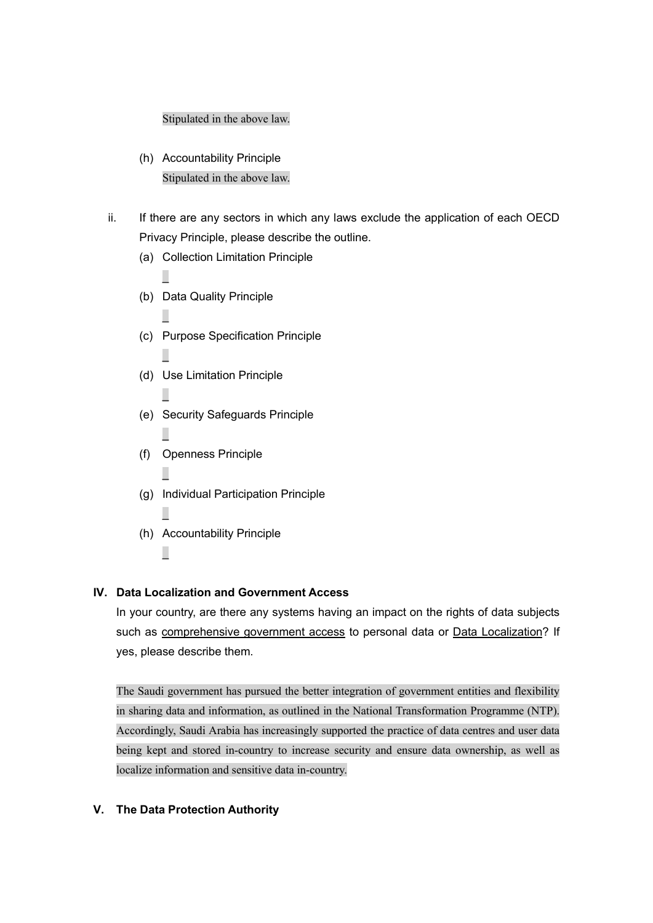### Stipulated in the above law.

- (h) Accountability Principle Stipulated in the above law.
- ii. If there are any sectors in which any laws exclude the application of each OECD Privacy Principle, please describe the outline.
	- (a) Collection Limitation Principle
	- (b) Data Quality Principle

 $\overline{\phantom{0}}$ 

 $\overline{\phantom{0}}$ 

 $\overline{\phantom{0}}$ 

 $\overline{\phantom{0}}$ 

 $\overline{\phantom{0}}$ 

 $\overline{\phantom{0}}$ 

\_

\_

- (c) Purpose Specification Principle
- (d) Use Limitation Principle
- (e) Security Safeguards Principle
- (f) Openness Principle
- (g) Individual Participation Principle
- (h) Accountability Principle

### **IV. Data Localization and Government Access**

In your country, are there any systems having an impact on the rights of data subjects such as comprehensive government access to personal data or Data Localization? If yes, please describe them.

The Saudi government has pursued the better integration of government entities and flexibility in sharing data and information, as outlined in the National Transformation Programme (NTP). Accordingly, Saudi Arabia has increasingly supported the practice of data centres and user data being kept and stored in-country to increase security and ensure data ownership, as well as localize information and sensitive data in-country.

### **V. The Data Protection Authority**